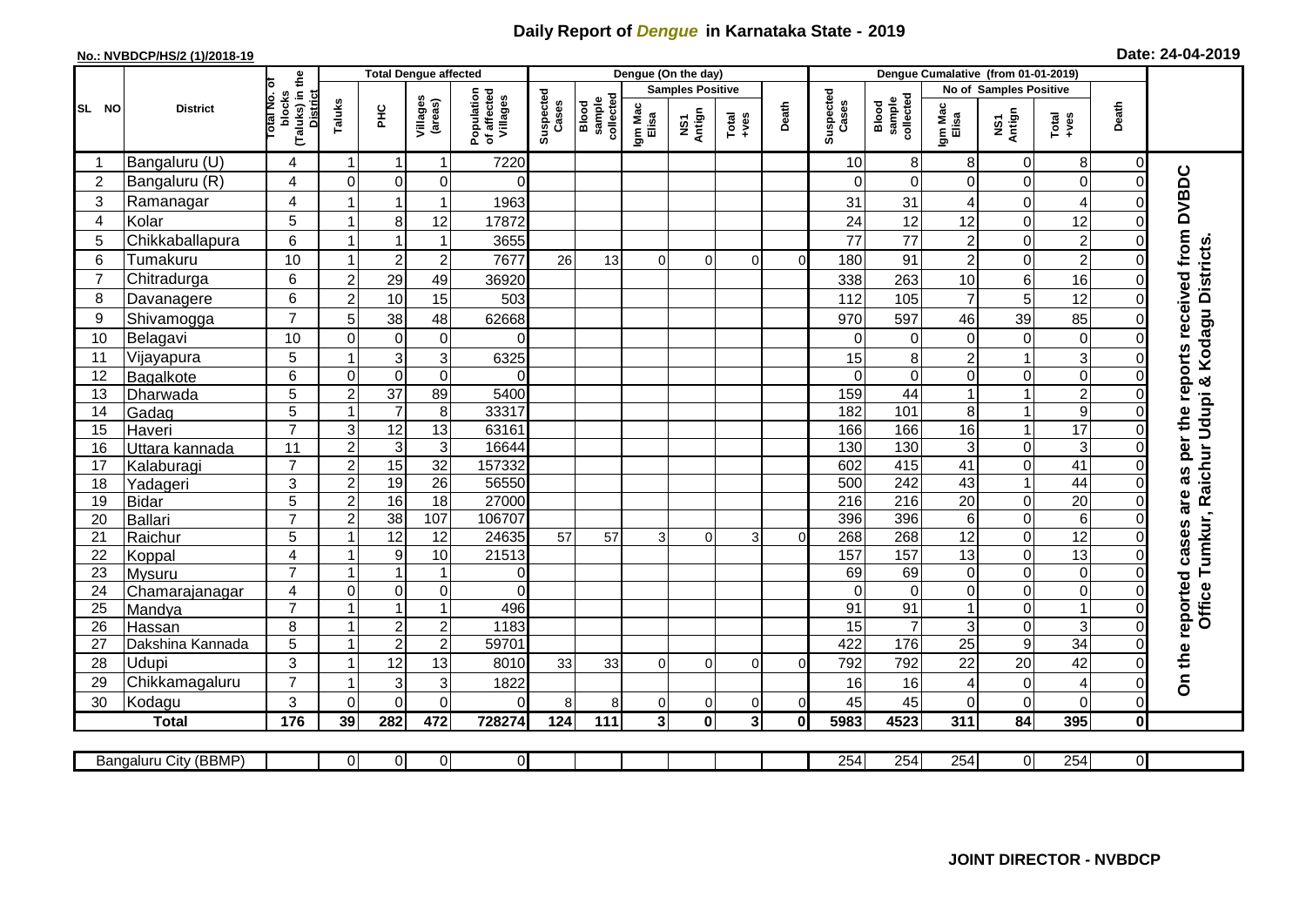## **Daily Report of** *Dengue* **in Karnataka State - 2019**

## **No.: NVBDCP/HS/2 (1)/2018-19 Date: 24-04-2019**

|                 |                       |                                                             |                         |                 | <b>Total Dengue affected</b> |                                       |                    |                              |                         | Dengue (On the day) |                                  |               |                    |                              |                  |                     |                         |                            |                                            |
|-----------------|-----------------------|-------------------------------------------------------------|-------------------------|-----------------|------------------------------|---------------------------------------|--------------------|------------------------------|-------------------------|---------------------|----------------------------------|---------------|--------------------|------------------------------|------------------|---------------------|-------------------------|----------------------------|--------------------------------------------|
|                 | <b>District</b>       |                                                             |                         |                 |                              |                                       |                    |                              | <b>Samples Positive</b> |                     |                                  |               |                    | No of Samples Positive       |                  |                     |                         |                            |                                            |
| SL NO           |                       | (Taluks) in the<br>otal No. of<br>blocks<br><b>District</b> | Taluks                  | Ξ               | Villages<br>(areas)          | Population<br>of affected<br>Villages | Suspected<br>Cases | sample<br>collected<br>Blood | Igm Mac<br>Elisa        | NS1<br>Antign       | $Total$                          | Death         | Suspected<br>Cases | collected<br>sample<br>Blood | Igm Mac<br>Elisa | NS1<br>Antign       | $Tota$<br>$+ves$        | Death                      |                                            |
|                 | Bangaluru (U)         | 4                                                           | -1                      | -1              | 1                            | 7220                                  |                    |                              |                         |                     |                                  |               | 10                 | 8                            | 8                | 0                   | 8                       | 0                          |                                            |
| $\overline{2}$  | Bangaluru (R)         | 4                                                           | $\mathbf 0$             | $\mathbf 0$     | $\mathbf 0$                  | $\Omega$                              |                    |                              |                         |                     |                                  |               | $\Omega$           | $\mathbf 0$                  | $\Omega$         | 0                   | $\mathsf{O}\xspace$     | $\mathbf 0$                |                                            |
| 3               | Ramanagar             | 4                                                           |                         |                 | 1                            | 1963                                  |                    |                              |                         |                     |                                  |               | 31                 | 31                           | 4                | 0                   | $\overline{4}$          | $\mathcal{C}$              | are as per the reports received from DVBDC |
| $\overline{4}$  | Kolar                 | 5                                                           |                         | 8               | 12                           | 17872                                 |                    |                              |                         |                     |                                  |               | 24                 | 12                           | 12               | $\mathbf 0$         | 12                      | $\Omega$                   |                                            |
| 5               | Chikkaballapura       | $6\phantom{1}$                                              | $\overline{1}$          |                 | $\mathbf{1}$                 | 3655                                  |                    |                              |                         |                     |                                  |               | 77                 | 77                           | $\overline{c}$   | 0                   | $\overline{2}$          | $\mathbf 0$                |                                            |
| 6               | Tumakuru              | 10                                                          |                         | $\overline{2}$  | $\overline{c}$               | 7677                                  | 26                 | 13                           | $\Omega$                | $\Omega$            | $\Omega$                         | $\Omega$      | 180                | 91                           | $\overline{2}$   | 0                   | $\overline{c}$          | $\Omega$                   |                                            |
| $\overline{7}$  | Chitradurga           | $6\phantom{1}$                                              | $\overline{2}$          | 29              | 49                           | 36920                                 |                    |                              |                         |                     |                                  |               | 338                | 263                          | 10               | 6                   | 16                      | $\mathbf 0$                |                                            |
| 8               | Davanagere            | $6\phantom{1}$                                              | $\overline{2}$          | 10              | 15                           | 503                                   |                    |                              |                         |                     |                                  |               | 112                | 105                          | $\overline{7}$   | 5                   | 12                      | $\Omega$                   |                                            |
| 9               | Shivamogga            | $\overline{7}$                                              | 5                       | 38              | 48                           | 62668                                 |                    |                              |                         |                     |                                  |               | 970                | 597                          | 46               | 39                  | 85                      | $\Omega$                   | Kodagu Districts                           |
| 10              | Belagavi              | 10                                                          | $\Omega$                | $\mathbf 0$     | $\mathbf 0$                  | 0                                     |                    |                              |                         |                     |                                  |               | $\Omega$           | $\Omega$                     | $\Omega$         | $\mathbf 0$         | $\mathbf 0$             | $\Omega$                   |                                            |
| 11              | Vijayapura            | 5                                                           |                         | $\mathbf{3}$    | 3                            | 6325                                  |                    |                              |                         |                     |                                  |               | 15                 | 8                            | $\overline{c}$   | 1                   | $\overline{3}$          | 0                          |                                            |
| 12              | Bagalkote             | $6\phantom{1}$                                              | $\mathbf 0$             | $\mathbf 0$     | $\mathbf 0$                  | $\Omega$                              |                    |                              |                         |                     |                                  |               | $\Omega$           | $\Omega$                     | $\Omega$         | 0                   | $\overline{0}$          | $\Omega$                   | ×                                          |
| 13              | Dharwada              | $\overline{5}$                                              | $\overline{2}$          | $\overline{37}$ | 89                           | 5400                                  |                    |                              |                         |                     |                                  |               | 159                | 44                           |                  | 1                   | $\overline{2}$          | $\Omega$                   |                                            |
| 14              | Gadag                 | 5                                                           |                         | $\overline{7}$  | $\,8\,$                      | 33317                                 |                    |                              |                         |                     |                                  |               | 182                | 101                          | 8                | 1                   | 9                       | $\Omega$                   |                                            |
| 15              | Haveri                | $\overline{7}$                                              | 3                       | $\overline{12}$ | $\overline{13}$              | 63161                                 |                    |                              |                         |                     |                                  |               | 166                | 166                          | 16               | 1                   | $\overline{17}$         | $\mathbf 0$                | Udupi                                      |
| 16              | Uttara kannada        | 11                                                          | $\overline{2}$          | $\mathsf 3$     | 3                            | 16644                                 |                    |                              |                         |                     |                                  |               | 130                | 130                          | 3                | 0                   | $\mathbf{3}$            | $\Omega$                   |                                            |
| 17              | Kalaburagi            | $\overline{7}$                                              | $\overline{2}$          | 15              | $\overline{32}$              | 157332                                |                    |                              |                         |                     |                                  |               | 602                | 415                          | 41               | 0                   | 41                      | $\Omega$                   |                                            |
| 18              | Yadageri              | 3                                                           | $\overline{2}$          | 19              | 26                           | 56550                                 |                    |                              |                         |                     |                                  |               | 500                | 242                          | 43               | $\mathbf{1}$        | 44                      | $\Omega$                   |                                            |
| 19              | Bidar                 | 5                                                           | $\overline{2}$          | 16              | $\overline{18}$              | 27000                                 |                    |                              |                         |                     |                                  |               | 216                | 216                          | 20               | 0                   | $\overline{20}$         | $\mathbf 0$                |                                            |
| 20              | Ballari               | $\overline{7}$                                              | $\overline{2}$          | 38              | 107                          | 106707                                |                    |                              |                         |                     |                                  |               | 396                | 396                          | 6                | 0                   | 6                       | $\Omega$                   |                                            |
| 21              | Raichur               | 5                                                           |                         | $\overline{12}$ | 12                           | 24635                                 | 57                 | 57                           | 3                       | $\Omega$            | 3                                | $\Omega$      | 268                | 268                          | 12               | 0                   | 12                      | $\mathbf 0$                | Tumkur, Raichur                            |
| 22              | Koppal                | $\overline{4}$                                              |                         | 9               | 10                           | 21513                                 |                    |                              |                         |                     |                                  |               | 157                | 157                          | 13               | $\mathbf 0$         | 13                      | $\overline{0}$             |                                            |
| 23              | Mysuru                | $\overline{7}$                                              |                         | -1              | 1                            | $\overline{0}$                        |                    |                              |                         |                     |                                  |               | 69                 | 69                           | $\mathbf 0$      | 0                   | $\overline{0}$          | $\mathbf 0$                |                                            |
| 24              | Chamarajanagar        | $\overline{4}$                                              | $\mathbf 0$             | $\overline{O}$  | 0                            | $\Omega$                              |                    |                              |                         |                     |                                  |               | $\Omega$           | $\overline{0}$               | $\mathbf 0$      | 0                   | $\overline{0}$          | $\mathbf 0$                |                                            |
| $\overline{25}$ | Mandya                | $\overline{7}$                                              |                         | $\overline{1}$  | 1                            | 496                                   |                    |                              |                         |                     |                                  |               | 91                 | 91                           |                  | 0                   | $\overline{1}$          | 0                          | <b>Office</b>                              |
| 26              | Hassan                | 8                                                           | $\overline{\mathbf{1}}$ | $\sqrt{2}$      | $\overline{c}$               | 1183<br>59701                         |                    |                              |                         |                     |                                  |               | 15<br>422          | $\overline{7}$<br>176        | 3                | 0<br>$\overline{9}$ | 3<br>34                 | $\mathbf 0$<br>$\mathbf 0$ |                                            |
| 27              | Dakshina Kannada      | $\overline{5}$                                              |                         | $\overline{2}$  | $\overline{2}$               |                                       |                    |                              |                         |                     |                                  |               |                    |                              | $\overline{25}$  |                     |                         |                            |                                            |
| 28              | <b>Udupi</b>          | 3<br>$\overline{7}$                                         |                         | 12              | 13                           | 8010                                  | 33                 | 33                           | $\Omega$                | $\Omega$            | $\Omega$                         | $\Omega$      | 792                | 792                          | 22               | 20                  | 42                      | $\Omega$                   | On the reported cases                      |
| 29              | Chikkamagaluru        |                                                             |                         | 3               | 3                            | 1822                                  |                    |                              |                         |                     |                                  |               | 16                 | 16                           | 4                | 0                   | $\overline{\mathbf{4}}$ | $\Omega$                   |                                            |
| 30              | Kodagu                | 3                                                           | $\Omega$                | $\Omega$        | $\overline{0}$               | $\Omega$                              | 8                  | 8                            | $\Omega$                | 0                   | $\overline{0}$<br>3 <sup>1</sup> | $\Omega$<br>0 | 45                 | 45                           | $\Omega$         | 0<br>84             | $\mathbf 0$<br>395      | $\Omega$                   |                                            |
|                 | <b>Total</b>          | 176                                                         | 39                      | 282             | 472                          | 728274                                | 124                | 111                          | 3                       | $\mathbf 0$         |                                  |               | 5983               | 4523                         | 311              |                     |                         | $\mathbf 0$                |                                            |
|                 | Bangaluru City (BBMP) |                                                             | $\overline{0}$          | $\overline{0}$  | $\overline{0}$               | $\overline{0}$                        |                    |                              |                         |                     |                                  |               | 254                | 254                          | 254              | 0                   | 254                     | $\overline{0}$             |                                            |